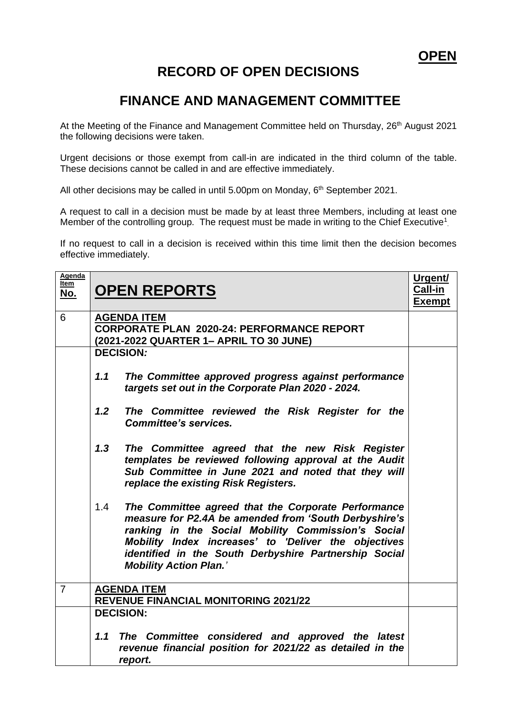## **RECORD OF OPEN DECISIONS**

## **FINANCE AND MANAGEMENT COMMITTEE**

At the Meeting of the Finance and Management Committee held on Thursday, 26<sup>th</sup> August 2021 the following decisions were taken.

Urgent decisions or those exempt from call-in are indicated in the third column of the table. These decisions cannot be called in and are effective immediately.

All other decisions may be called in until 5.00pm on Monday, 6<sup>th</sup> September 2021.

A request to call in a decision must be made by at least three Members, including at least one Member of the controlling group. The request must be made in writing to the Chief Executive<sup>1</sup>.

If no request to call in a decision is received within this time limit then the decision becomes effective immediately.

| Agenda<br><u>Item</u><br><u>No.</u> | <b>OPEN REPORTS</b>                                                                                                                                                                                                                                                                                                         | Urgent/<br>Call-in<br><b>Exempt</b> |  |  |
|-------------------------------------|-----------------------------------------------------------------------------------------------------------------------------------------------------------------------------------------------------------------------------------------------------------------------------------------------------------------------------|-------------------------------------|--|--|
| 6                                   | <b>AGENDA ITEM</b><br><b>CORPORATE PLAN 2020-24: PERFORMANCE REPORT</b><br>(2021-2022 QUARTER 1- APRIL TO 30 JUNE)                                                                                                                                                                                                          |                                     |  |  |
|                                     | <b>DECISION:</b>                                                                                                                                                                                                                                                                                                            |                                     |  |  |
|                                     | 1.1<br>The Committee approved progress against performance<br>targets set out in the Corporate Plan 2020 - 2024.                                                                                                                                                                                                            |                                     |  |  |
|                                     | 1.2<br>The Committee reviewed the Risk Register for the<br><b>Committee's services.</b>                                                                                                                                                                                                                                     |                                     |  |  |
|                                     | 1,3<br>The Committee agreed that the new Risk Register<br>templates be reviewed following approval at the Audit<br>Sub Committee in June 2021 and noted that they will<br>replace the existing Risk Registers.                                                                                                              |                                     |  |  |
|                                     | 1.4<br>The Committee agreed that the Corporate Performance<br>measure for P2.4A be amended from 'South Derbyshire's<br>ranking in the Social Mobility Commission's Social<br>Mobility Index increases' to 'Deliver the objectives<br>identified in the South Derbyshire Partnership Social<br><b>Mobility Action Plan.'</b> |                                     |  |  |
| $\overline{7}$                      | <b>AGENDA ITEM</b><br><b>REVENUE FINANCIAL MONITORING 2021/22</b>                                                                                                                                                                                                                                                           |                                     |  |  |
|                                     | <b>DECISION:</b>                                                                                                                                                                                                                                                                                                            |                                     |  |  |
|                                     | The Committee considered and approved the latest<br>1.1<br>revenue financial position for 2021/22 as detailed in the<br>report.                                                                                                                                                                                             |                                     |  |  |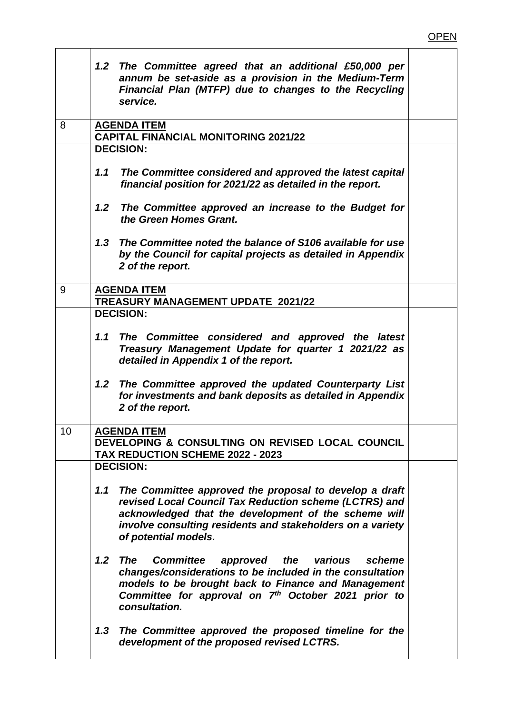|    | 1.2 The Committee agreed that an additional £50,000 per<br>annum be set-aside as a provision in the Medium-Term<br>Financial Plan (MTFP) due to changes to the Recycling<br>service.                                                                                  |  |
|----|-----------------------------------------------------------------------------------------------------------------------------------------------------------------------------------------------------------------------------------------------------------------------|--|
| 8  | <b>AGENDA ITEM</b>                                                                                                                                                                                                                                                    |  |
|    | <b>CAPITAL FINANCIAL MONITORING 2021/22</b><br><b>DECISION:</b>                                                                                                                                                                                                       |  |
|    |                                                                                                                                                                                                                                                                       |  |
|    | The Committee considered and approved the latest capital<br>1.1<br>financial position for 2021/22 as detailed in the report.                                                                                                                                          |  |
|    | The Committee approved an increase to the Budget for<br>1.2 <sub>1</sub><br>the Green Homes Grant.                                                                                                                                                                    |  |
|    | 1.3<br>The Committee noted the balance of S106 available for use<br>by the Council for capital projects as detailed in Appendix<br>2 of the report.                                                                                                                   |  |
| 9  | <b>AGENDA ITEM</b><br><b>TREASURY MANAGEMENT UPDATE 2021/22</b>                                                                                                                                                                                                       |  |
|    | <b>DECISION:</b>                                                                                                                                                                                                                                                      |  |
|    | 1.1<br>The Committee considered and approved the latest<br>Treasury Management Update for quarter 1 2021/22 as<br>detailed in Appendix 1 of the report.                                                                                                               |  |
|    | The Committee approved the updated Counterparty List<br>1.2 <sub>2</sub><br>for investments and bank deposits as detailed in Appendix<br>2 of the report.                                                                                                             |  |
| 10 | <b>AGENDA ITEM</b>                                                                                                                                                                                                                                                    |  |
|    | DEVELOPING & CONSULTING ON REVISED LOCAL COUNCIL                                                                                                                                                                                                                      |  |
|    | <b>TAX REDUCTION SCHEME 2022 - 2023</b>                                                                                                                                                                                                                               |  |
|    | <b>DECISION:</b>                                                                                                                                                                                                                                                      |  |
|    | The Committee approved the proposal to develop a draft<br>1.1<br>revised Local Council Tax Reduction scheme (LCTRS) and<br>acknowledged that the development of the scheme will<br>involve consulting residents and stakeholders on a variety<br>of potential models. |  |
|    | 1.2<br>The<br><b>Committee</b><br>approved the various<br>scheme<br>changes/considerations to be included in the consultation<br>models to be brought back to Finance and Management<br>Committee for approval on 7th October 2021 prior to<br>consultation.          |  |
|    | The Committee approved the proposed timeline for the<br>1.3<br>development of the proposed revised LCTRS.                                                                                                                                                             |  |